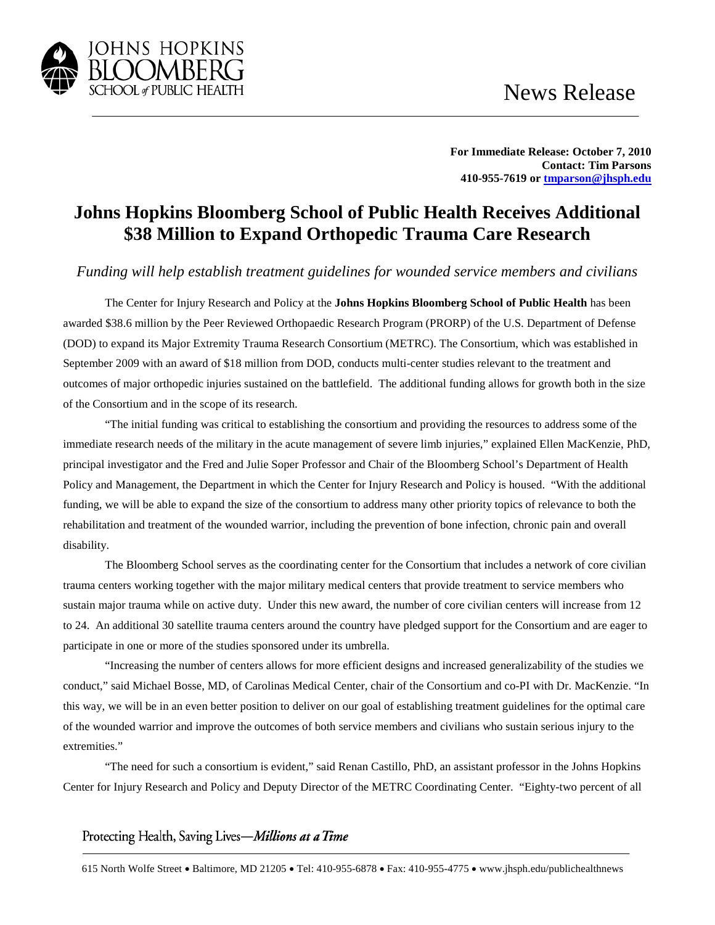

**For Immediate Release: October 7, 2010 Contact: Tim Parsons 410-955-7619 o[r tmparson@jhsph.edu](mailto:tmparson@jhsph.edu)**

## **Johns Hopkins Bloomberg School of Public Health Receives Additional \$38 Million to Expand Orthopedic Trauma Care Research**

*Funding will help establish treatment guidelines for wounded service members and civilians* 

The Center for Injury Research and Policy at the **Johns Hopkins Bloomberg School of Public Health** has been awarded \$38.6 million by the Peer Reviewed Orthopaedic Research Program (PRORP) of the U.S. Department of Defense (DOD) to expand its Major Extremity Trauma Research Consortium (METRC). The Consortium, which was established in September 2009 with an award of \$18 million from DOD, conducts multi-center studies relevant to the treatment and outcomes of major orthopedic injuries sustained on the battlefield. The additional funding allows for growth both in the size of the Consortium and in the scope of its research.

"The initial funding was critical to establishing the consortium and providing the resources to address some of the immediate research needs of the military in the acute management of severe limb injuries," explained Ellen MacKenzie, PhD, principal investigator and the Fred and Julie Soper Professor and Chair of the Bloomberg School's Department of Health Policy and Management, the Department in which the Center for Injury Research and Policy is housed. "With the additional funding, we will be able to expand the size of the consortium to address many other priority topics of relevance to both the rehabilitation and treatment of the wounded warrior, including the prevention of bone infection, chronic pain and overall disability.

The Bloomberg School serves as the coordinating center for the Consortium that includes a network of core civilian trauma centers working together with the major military medical centers that provide treatment to service members who sustain major trauma while on active duty. Under this new award, the number of core civilian centers will increase from 12 to 24. An additional 30 satellite trauma centers around the country have pledged support for the Consortium and are eager to participate in one or more of the studies sponsored under its umbrella.

"Increasing the number of centers allows for more efficient designs and increased generalizability of the studies we conduct," said Michael Bosse, MD, of Carolinas Medical Center, chair of the Consortium and co-PI with Dr. MacKenzie. "In this way, we will be in an even better position to deliver on our goal of establishing treatment guidelines for the optimal care of the wounded warrior and improve the outcomes of both service members and civilians who sustain serious injury to the extremities."

"The need for such a consortium is evident," said Renan Castillo, PhD, an assistant professor in the Johns Hopkins Center for Injury Research and Policy and Deputy Director of the METRC Coordinating Center. "Eighty-two percent of all

Protecting Health, Saving Lives-Millions at a Time

615 North Wolfe Street • Baltimore, MD 21205 • Tel: 410-955-6878 • Fax: 410-955-4775 • www.jhsph.edu/publichealthnews